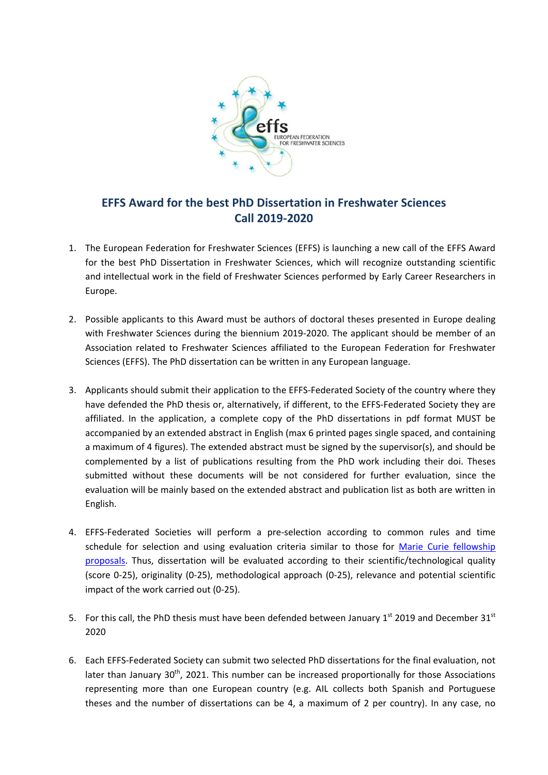

## **EFFS Award for the best PhD Dissertation in Freshwater Sciences Call 2019‐2020**

- 1. The European Federation for Freshwater Sciences (EFFS) is launching a new call of the EFFS Award for the best PhD Dissertation in Freshwater Sciences, which will recognize outstanding scientific and intellectual work in the field of Freshwater Sciences performed by Early Career Researchers in Europe.
- 2. Possible applicants to this Award must be authors of doctoral theses presented in Europe dealing with Freshwater Sciences during the biennium 2019‐2020. The applicant should be member of an Association related to Freshwater Sciences affiliated to the European Federation for Freshwater Sciences (EFFS). The PhD dissertation can be written in any European language.
- 3. Applicants should submit their application to the EFFS-Federated Society of the country where they have defended the PhD thesis or, alternatively, if different, to the EFFS-Federated Society they are affiliated. In the application, a complete copy of the PhD dissertations in pdf format MUST be accompanied by an extended abstract in English (max 6 printed pages single spaced, and containing a maximum of 4 figures). The extended abstract must be signed by the supervisor(s), and should be complemented by a list of publications resulting from the PhD work including their doi. Theses submitted without these documents will be not considered for further evaluation, since the evaluation will be mainly based on the extended abstract and publication list as both are written in English.
- 4. EFFS-Federated Societies will perform a pre-selection according to common rules and time schedule for selection and using evaluation criteria similar to those for Marie Curie fellowship proposals. Thus, dissertation will be evaluated according to their scientific/technological quality (score 0‐25), originality (0‐25), methodological approach (0‐25), relevance and potential scientific impact of the work carried out (0‐25).
- 5. For this call, the PhD thesis must have been defended between January  $1^{st}$  2019 and December 31st 2020
- 6. Each EFFS‐Federated Society can submit two selected PhD dissertations for the final evaluation, not later than January  $30<sup>th</sup>$ , 2021. This number can be increased proportionally for those Associations representing more than one European country (e.g. AIL collects both Spanish and Portuguese theses and the number of dissertations can be 4, a maximum of 2 per country). In any case, no